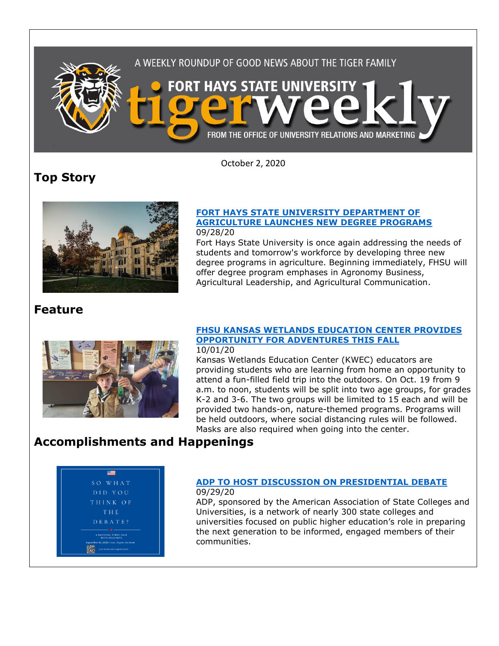

October 2, 2020

# **Top Story**



### **[FORT HAYS STATE UNIVERSITY DEPARTMENT OF](https://www.fhsu.edu/news/2020/09/fort-hays-state-university-department-of-agriculture-launches-new-degree-programs)  [AGRICULTURE LAUNCHES NEW DEGREE PROGRAMS](https://www.fhsu.edu/news/2020/09/fort-hays-state-university-department-of-agriculture-launches-new-degree-programs)** 09/28/20

Fort Hays State University is once again addressing the needs of students and tomorrow's workforce by developing three new degree programs in agriculture. Beginning immediately, FHSU will offer degree program emphases in Agronomy Business, Agricultural Leadership, and Agricultural Communication.

## **Feature**



## **[FHSU KANSAS WETLANDS EDUCATION CENTER PROVIDES](https://www.fhsu.edu/news/2020/10/fhsu-kansas-wetlands-education-center-provides-opportunity-for-adventures-this-fall)  [OPPORTUNITY FOR ADVENTURES THIS FALL](https://www.fhsu.edu/news/2020/10/fhsu-kansas-wetlands-education-center-provides-opportunity-for-adventures-this-fall)**

### 10/01/20

Kansas Wetlands Education Center (KWEC) educators are providing students who are learning from home an opportunity to attend a fun-filled field trip into the outdoors. On Oct. 19 from 9 a.m. to noon, students will be split into two age groups, for grades K-2 and 3-6. The two groups will be limited to 15 each and will be provided two hands-on, nature-themed programs. Programs will be held outdoors, where social distancing rules will be followed. Masks are also required when going into the center.

# **Accomplishments and Happenings**



#### **[ADP TO HOST DISCUSSION ON PRESIDENTIAL DEBATE](https://www.fhsu.edu/news/2020/09/adp-to-host-discussion-on-presidential-debate)** 09/29/20

ADP, sponsored by the American Association of State Colleges and Universities, is a network of nearly 300 state colleges and universities focused on public higher education's role in preparing the next generation to be informed, engaged members of their communities.